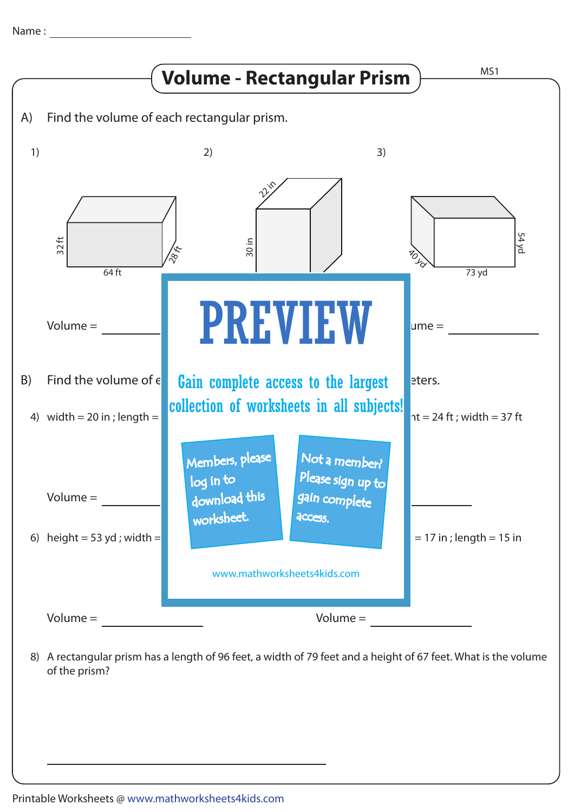

A rectangular prism has a length of 96 feet, a width of 79 feet and a height of 67 feet. What is the volume 8) of the prism?